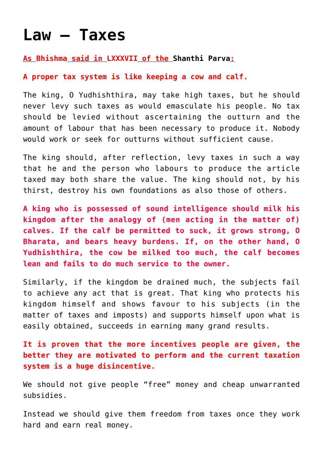# **[Law – Taxes](https://aryadharma.world/laws/details-of-the-law/law-finance/laws_taxes/)**

## **As [Bhishma](http://en.wikipedia.org/wiki/Bhishma) said in [LXXXVII](http://www.sacred-texts.com/hin/m12/m12a086.htm) of the [Shanthi Parva](http://aryadharma.world/shantiparva/):**

# **A proper tax system is like keeping a cow and calf.**

The king, O Yudhishthira, may take high taxes, but he should never levy such taxes as would emasculate his people. No tax should be levied without ascertaining the outturn and the amount of labour that has been necessary to produce it. Nobody would work or seek for outturns without sufficient cause.

The king should, after reflection, levy taxes in such a way that he and the person who labours to produce the article taxed may both share the value. The king should not, by his thirst, destroy his own foundations as also those of others.

**A king who is possessed of sound intelligence should milk his kingdom after the analogy of (men acting in the matter of) calves. If the calf be permitted to suck, it grows strong, O Bharata, and bears heavy burdens. If, on the other hand, O Yudhishthira, the cow be milked too much, the calf becomes lean and fails to do much service to the owner.**

Similarly, if the kingdom be drained much, the subjects fail to achieve any act that is great. That king who protects his kingdom himself and shows favour to his subjects (in the matter of taxes and imposts) and supports himself upon what is easily obtained, succeeds in earning many grand results.

**It is proven that the more incentives people are given, the better they are motivated to perform and the current taxation system is a huge disincentive.**

We should not give people "free" money and cheap unwarranted subsidies.

Instead we should give them freedom from taxes once they work hard and earn real money.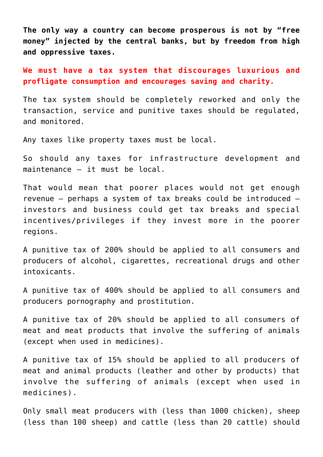**The only way a country can become prosperous is not by "free money" injected by the central banks, but by freedom from high and oppressive taxes.**

**We must have a tax system that discourages luxurious and profligate consumption and encourages saving and charity.**

The tax system should be completely reworked and only the transaction, service and punitive taxes should be regulated, and monitored.

Any taxes like property taxes must be local.

So should any taxes for infrastructure development and maintenance – it must be local.

That would mean that poorer places would not get enough revenue – perhaps a system of tax breaks could be introduced – investors and business could get tax breaks and special incentives/privileges if they invest more in the poorer regions.

A punitive tax of 200% should be applied to all consumers and producers of alcohol, cigarettes, recreational drugs and other intoxicants.

A punitive tax of 400% should be applied to all consumers and producers pornography and prostitution.

A punitive tax of 20% should be applied to all consumers of meat and meat products that involve the suffering of animals (except when used in medicines).

A punitive tax of 15% should be applied to all producers of meat and animal products (leather and other by products) that involve the suffering of animals (except when used in medicines).

Only small meat producers with (less than 1000 chicken), sheep (less than 100 sheep) and cattle (less than 20 cattle) should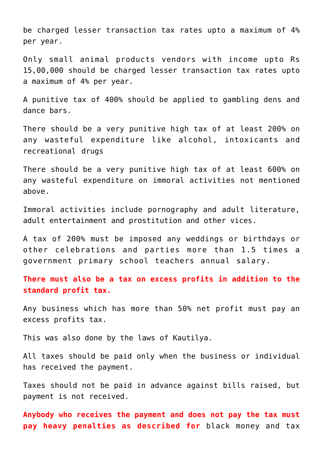be charged lesser transaction tax rates upto a maximum of 4% per year.

Only small animal products vendors with income upto Rs 15,00,000 should be charged lesser transaction tax rates upto a maximum of 4% per year.

A punitive tax of 400% should be applied to gambling dens and dance bars.

There should be a very punitive high tax of at least 200% on any wasteful expenditure like alcohol, intoxicants and recreational drugs

There should be a very punitive high tax of at least 600% on any wasteful expenditure on immoral activities not mentioned above.

Immoral activities include pornography and adult literature, adult entertainment and prostitution and other vices.

A tax of 200% must be imposed any weddings or birthdays or other celebrations and parties more than 1.5 times a government primary school teachers annual salary.

**There must also be a tax on excess profits in addition to the standard profit tax.**

Any business which has more than 50% net profit must pay an excess profits tax.

This was also done by the laws of [Kautilya.](http://Kautilya.html)

All taxes should be paid only when the business or individual has received the payment.

Taxes should not be paid in advance against bills raised, but payment is not received.

**Anybody who receives the payment and does not pay the tax must pay heavy penalties as described for** [black money and tax](http://aryadharma.world/laws_blackmoney/)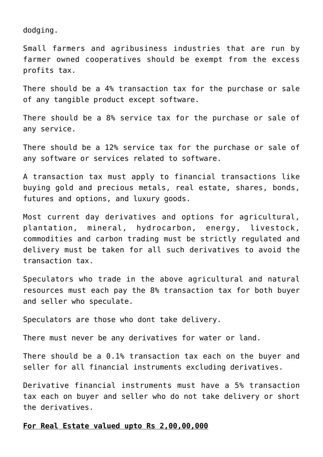[dodging.](http://aryadharma.world/laws_blackmoney/)

Small farmers and agribusiness industries that are run by farmer owned cooperatives should be exempt from the excess profits tax.

There should be a 4% transaction tax for the purchase or sale of any tangible product except software.

There should be a 8% service tax for the purchase or sale of any service.

There should be a 12% service tax for the purchase or sale of any software or services related to software.

A transaction tax must apply to financial transactions like buying gold and precious metals, real estate, shares, bonds, futures and options, and luxury goods.

Most current day derivatives and options for agricultural, plantation, mineral, hydrocarbon, energy, livestock, commodities and carbon trading must be strictly regulated and delivery must be taken for all such derivatives to avoid the transaction tax.

Speculators who trade in the above agricultural and natural resources must each pay the 8% transaction tax for both buyer and seller who speculate.

Speculators are those who dont take delivery.

There must never be any derivatives for water or land.

There should be a 0.1% transaction tax each on the buyer and seller for all financial instruments excluding derivatives.

Derivative financial instruments must have a 5% transaction tax each on buyer and seller who do not take delivery or short the derivatives.

# **For Real Estate valued upto Rs 2,00,00,000**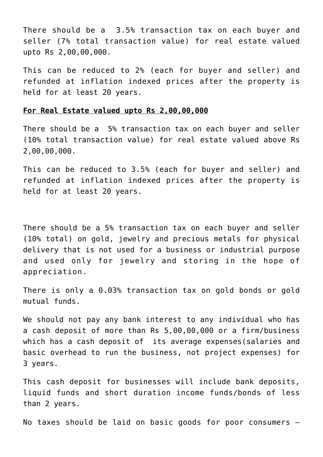There should be a 3.5% transaction tax on each buyer and seller (7% total transaction value) for real estate valued upto Rs 2,00,00,000.

This can be reduced to 2% (each for buyer and seller) and refunded at inflation indexed prices after the property is held for at least 20 years.

### **For Real Estate valued upto Rs 2,00,00,000**

There should be a 5% transaction tax on each buyer and seller (10% total transaction value) for real estate valued above Rs 2,00,00,000.

This can be reduced to 3.5% (each for buyer and seller) and refunded at inflation indexed prices after the property is held for at least 20 years.

There should be a 5% transaction tax on each buyer and seller (10% total) on gold, jewelry and precious metals for physical delivery that is not used for a business or industrial purpose and used only for jewelry and storing in the hope of appreciation.

There is only a 0.03% transaction tax on gold bonds or gold mutual funds.

We should not pay any bank interest to any individual who has a cash deposit of more than Rs 5,00,00,000 or a firm/business which has a cash deposit of its average expenses(salaries and basic overhead to run the business, not project expenses) for 3 years.

This cash deposit for businesses will include bank deposits, liquid funds and short duration income funds/bonds of less than 2 years.

No taxes should be laid on basic goods for poor consumers –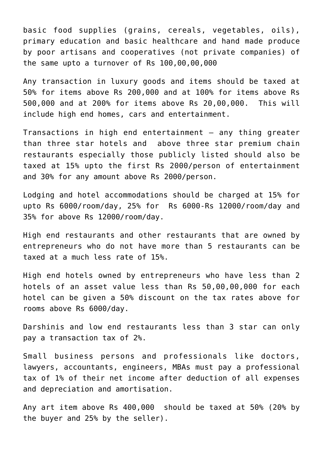basic food supplies (grains, cereals, vegetables, oils), primary education and basic healthcare and hand made produce by poor artisans and cooperatives (not private companies) of the same upto a turnover of Rs 100,00,00,000

Any transaction in luxury goods and items should be taxed at 50% for items above Rs 200,000 and at 100% for items above Rs 500,000 and at 200% for items above Rs 20,00,000. This will include high end homes, cars and entertainment.

Transactions in high end entertainment – any thing greater than three star hotels and above three star premium chain restaurants especially those publicly listed should also be taxed at 15% upto the first Rs 2000/person of entertainment and 30% for any amount above Rs 2000/person.

Lodging and hotel accommodations should be charged at 15% for upto Rs 6000/room/day, 25% for Rs 6000-Rs 12000/room/day and 35% for above Rs 12000/room/day.

High end restaurants and other restaurants that are owned by entrepreneurs who do not have more than 5 restaurants can be taxed at a much less rate of 15%.

High end hotels owned by entrepreneurs who have less than 2 hotels of an asset value less than Rs 50,00,00,000 for each hotel can be given a 50% discount on the tax rates above for rooms above Rs 6000/day.

Darshinis and low end restaurants less than 3 star can only pay a transaction tax of 2%.

Small business persons and professionals like doctors, lawyers, accountants, engineers, MBAs must pay a professional tax of 1% of their net income after deduction of all expenses and depreciation and amortisation.

Any art item above Rs 400,000 should be taxed at 50% (20% by the buyer and 25% by the seller).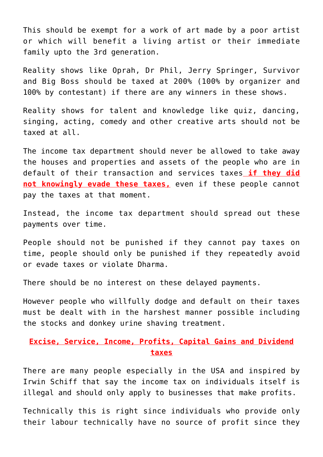This should be exempt for a work of art made by a poor artist or which will benefit a living artist or their immediate family upto the 3rd generation.

Reality shows like [Oprah,](http://en.wikipedia.org/wiki/Oprah_Winfrey_Show) [Dr Phil,](http://en.wikipedia.org/wiki/Dr._Phil_(TV_series)) [Jerry Springer](http://en.wikipedia.org/wiki/The_Jerry_Springer_Show), [Survivor](http://en.wikipedia.org/wiki/Survivor_(TV_series)) and [Big Boss](http://en.wikipedia.org/wiki/Bigg_Boss) should be taxed at 200% (100% by organizer and 100% by contestant) if there are any winners in these shows.

Reality shows for talent and knowledge like quiz, dancing, singing, acting, comedy and other creative arts should not be taxed at all.

The income tax department should never be allowed to take away the houses and properties and assets of the people who are in default of their transaction and services taxes **if they did** not knowingly evade these taxes, even if these people cannot pay the taxes at that moment.

Instead, the income tax department should spread out these payments over time.

People should not be punished if they cannot pay taxes on time, people should only be punished if they repeatedly avoid or evade taxes or violate [Dharma.](http://aryadharma.world/dharma/)

There should be no interest on these delayed payments.

However people who [willfully dodge and default on their taxes](http://aryadharma.world/laws_blackmoney/) must be dealt with in the harshest manner possible including the stocks and donkey urine shaving treatment.

# **Excise, Service, Income, Profits, Capital Gains and Dividend taxes**

There are many people especially in the USA [and inspired](http://www.paynoincometax.com) by [Irwin Schiff](http://en.wikipedia.org/wiki/Irwin_Schiff) that say the income tax on individuals itself is illegal and should only apply to businesses that make profits.

Technically this is right since individuals who provide only their labour technically have no source of profit since they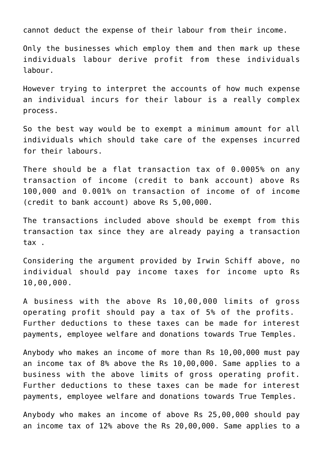cannot deduct the expense of their labour from their income.

Only the businesses which employ them and then mark up these individuals labour derive profit from these individuals labour.

However trying to interpret the accounts of how much expense an individual incurs for their labour is a really complex process.

So the best way would be to exempt a minimum amount for all individuals which should take care of the expenses incurred for their labours.

There should be a flat transaction tax of 0.0005% on any transaction of income (credit to bank account) above Rs 100,000 and 0.001% on transaction of income of of income (credit to bank account) above Rs 5,00,000.

The transactions included above should be exempt from this transaction tax since they are already paying a transaction tax .

Considering the argument provided by [Irwin Schiff](http://en.wikipedia.org/wiki/Irwin_Schiff) above, no individual should pay income taxes for income upto Rs 10,00,000.

A business with the above Rs 10,00,000 limits of gross operating profit should pay a tax of 5% of the profits. Further deductions to these taxes can be made for interest payments, employee welfare and donations towards [True Temples](https://aryadharma.world/concepts/thestate/truetemples/).

Anybody who makes an income of more than Rs 10,00,000 must pay an income tax of 8% above the Rs 10,00,000. Same applies to a business with the above limits of gross operating profit. Further deductions to these taxes can be made for interest payments, employee welfare and donations towards [True Temples](https://aryadharma.world/concepts/thestate/truetemples/).

Anybody who makes an income of above Rs 25,00,000 should pay an income tax of 12% above the Rs 20,00,000. Same applies to a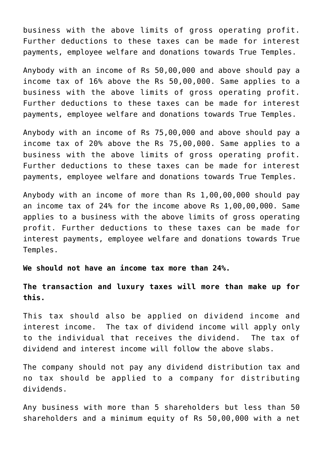business with the above limits of gross operating profit. Further deductions to these taxes can be made for interest payments, employee welfare and donations towards [True Temples](https://aryadharma.world/concepts/thestate/truetemples/).

Anybody with an income of Rs 50,00,000 and above should pay a income tax of 16% above the Rs 50,00,000. Same applies to a business with the above limits of gross operating profit. Further deductions to these taxes can be made for interest payments, employee welfare and donations towards [True Temples](https://aryadharma.world/concepts/thestate/truetemples/).

Anybody with an income of Rs 75,00,000 and above should pay a income tax of 20% above the Rs 75,00,000. Same applies to a business with the above limits of gross operating profit. Further deductions to these taxes can be made for interest payments, employee welfare and donations towards [True Temples](https://aryadharma.world/concepts/thestate/truetemples/).

Anybody with an income of more than Rs 1,00,00,000 should pay an income tax of 24% for the income above Rs 1,00,00,000. Same applies to a business with the above limits of gross operating profit. Further deductions to these taxes can be made for interest payments, employee welfare and donations towards [True](https://aryadharma.world/concepts/thestate/truetemples/) [Temples](https://aryadharma.world/concepts/thestate/truetemples/).

**We should not have an income tax more than 24%.**

**The transaction and luxury taxes will more than make up for this.**

This tax should also be applied on dividend income and interest income. The tax of dividend income will apply only to the individual that receives the dividend. The tax of dividend and interest income will follow the above slabs.

The company should not pay any dividend distribution tax and no tax should be applied to a company for distributing dividends.

Any business with more than 5 shareholders but less than 50 shareholders and a minimum equity of Rs 50,00,000 with a net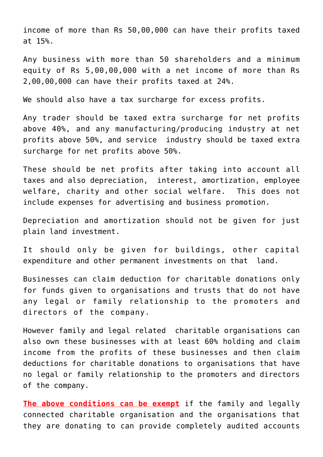income of more than Rs 50,00,000 can have their profits taxed at 15%.

Any business with more than 50 shareholders and a minimum equity of Rs 5,00,00,000 with a net income of more than Rs 2,00,00,000 can have their profits taxed at 24%.

We should also have a tax surcharge for excess profits.

Any trader should be taxed extra surcharge for net profits above 40%, and any manufacturing/producing industry at net profits above 50%, and service industry should be taxed extra surcharge for net profits above 50%.

These should be net profits after taking into account all taxes and also depreciation, interest, amortization, employee welfare, charity and other social welfare. This does not include expenses for advertising and business promotion.

Depreciation and amortization should not be given for just plain land investment.

It should only be given for buildings, other capital expenditure and other permanent investments on that land.

Businesses can claim deduction for charitable donations only for funds given to organisations and trusts that do not have any legal or family relationship to the promoters and directors of the company.

However family and legal related charitable organisations can also own these businesses with at least 60% holding and claim income from the profits of these businesses and then claim deductions for charitable donations to organisations that have no legal or family relationship to the promoters and directors of the company.

**The above conditions can be exempt** if the family and legally connected charitable organisation and the organisations that they are donating to can provide completely audited accounts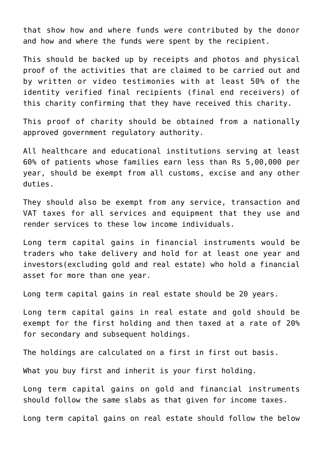that show how and where funds were contributed by the donor and how and where the funds were spent by the recipient.

This should be backed up by receipts and photos and physical proof of the activities that are claimed to be carried out and by written or video testimonies with at least 50% of the identity verified final recipients (final end receivers) of this charity confirming that they have received this charity.

This proof of charity should be obtained from a nationally approved government regulatory authority.

All [healthcare](http://aryadharma.world/laws_healthcare/) and [educational](http://aryadharma.world/law-education-2/) institutions serving at least 60% of patients whose families earn less than Rs 5,00,000 per year, should be exempt from all customs, excise and any other duties.

They should also be exempt from any service, transaction and VAT taxes for all services and equipment that they use and render services to these low income individuals.

Long term capital gains in financial instruments would be traders who take delivery and hold for at least one year and investors(excluding gold and real estate) who hold a financial asset for more than one year.

Long term capital gains in real estate should be 20 years.

Long term capital gains in real estate and gold should be exempt for the first holding and then taxed at a rate of 20% for secondary and subsequent holdings.

The holdings are calculated on a first in first out basis.

What you buy first and inherit is your first holding.

Long term capital gains on gold and financial instruments should follow the same slabs as that given for income taxes.

Long term capital gains on real estate should follow the below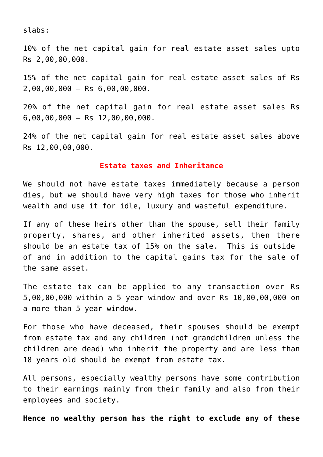slabs:

10% of the net capital gain for real estate asset sales upto Rs 2,00,00,000.

15% of the net capital gain for real estate asset sales of Rs 2,00,00,000 – Rs 6,00,00,000.

20% of the net capital gain for real estate asset sales Rs 6,00,00,000 – Rs 12,00,00,000.

24% of the net capital gain for real estate asset sales above Rs 12,00,00,000.

## **Estate taxes and Inheritance**

We should not have estate taxes immediately because a person dies, but we should have very high taxes for those who inherit wealth and use it for idle, luxury and wasteful expenditure.

If any of these heirs other than the spouse, sell their family property, shares, and other inherited assets, then there should be an estate tax of 15% on the sale. This is outside of and in addition to the capital gains tax for the sale of the same asset.

The estate tax can be applied to any transaction over Rs 5,00,00,000 within a 5 year window and over Rs 10,00,00,000 on a more than 5 year window.

For those who have deceased, their spouses should be exempt from estate tax and any children (not grandchildren unless the children are dead) who inherit the property and are less than 18 years old should be exempt from estate tax.

All persons, especially wealthy persons have some contribution to their earnings mainly from their family and also from their employees and society.

**Hence no wealthy person has the right to exclude any of these**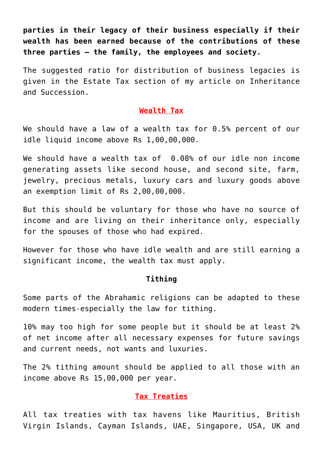**parties in their legacy of their business especially if their wealth has been earned because of the contributions of these three parties – the family, the employees and society.**

The suggested ratio for distribution of business legacies is given in the Estate Tax section of my article on [Inheritance](https://aryadharma.world/laws/details-of-the-law/law-inheritance-and-succession/) [and Succession](https://aryadharma.world/laws/details-of-the-law/law-inheritance-and-succession/).

### **Wealth Tax**

We should have a law of a wealth tax for 0.5% percent of our idle liquid income above Rs 1,00,00,000.

We should have a wealth tax of 0.08% of our idle non income generating assets like second house, and second site, farm, jewelry, precious metals, luxury cars and luxury goods above an exemption limit of Rs 2,00,00,000.

But this should be voluntary for those who have no source of income and are living on their inheritance only, especially for the spouses of those who had expired.

However for those who have idle wealth and are still earning a significant income, the wealth tax must apply.

## **[Tithing](https://en.wikipedia.org/wiki/Tithe)**

Some parts of the Abrahamic religions can be adapted to these modern times-especially the law for tithing.

10% may too high for some people but it should be at least 2% of net income after all necessary expenses for future savings and current needs, not wants and luxuries.

The 2% tithing amount should be applied to all those with an income above Rs 15,00,000 per year.

## **Tax Treaties**

All tax treaties with tax havens like Mauritius, British Virgin Islands, Cayman Islands, UAE, Singapore, USA, UK and